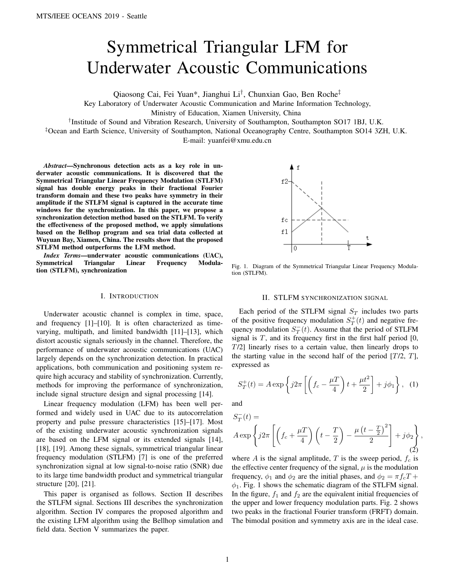# Symmetrical Triangular LFM for Underwater Acoustic Communications

Qiaosong Cai, Fei Yuan\*, Jianghui Li† , Chunxian Gao, Ben Roche‡

Key Laboratory of Underwater Acoustic Communication and Marine Information Technology,

Ministry of Education, Xiamen University, China

† Institude of Sound and Vibration Research, University of Southampton, Southampton SO17 1BJ, U.K.

‡Ocean and Earth Science, University of Southampton, National Oceanography Centre, Southampton SO14 3ZH, U.K. E-mail: yuanfei@xmu.edu.cn

*Abstract*—Synchronous detection acts as a key role in underwater acoustic communications. It is discovered that the Symmetrical Triangular Linear Frequency Modulation (STLFM) signal has double energy peaks in their fractional Fourier transform domain and these two peaks have symmetry in their amplitude if the STLFM signal is captured in the accurate time windows for the synchronization. In this paper, we propose a synchronization detection method based on the STLFM. To verify the effectiveness of the proposed method, we apply simulations based on the Bellhop program and sea trial data collected at Wuyuan Bay, Xiamen, China. The results show that the proposed STLFM method outperforms the LFM method.

*Index Terms*—underwater acoustic communications (UAC), Symmetrical Triangular Linear Frequency Modulation (STLFM), synchronization

## I. INTRODUCTION

Underwater acoustic channel is complex in time, space, and frequency [1]–[10]. It is often characterized as timevarying, multipath, and limited bandwidth [11]–[13], which distort acoustic signals seriously in the channel. Therefore, the performance of underwater acoustic communications (UAC) largely depends on the synchronization detection. In practical applications, both communication and positioning system require high accuracy and stability of synchronization. Currently, methods for improving the performance of synchronization, include signal structure design and signal processing [14].

Linear frequency modulation (LFM) has been well performed and widely used in UAC due to its autocorrelation property and pulse pressure characteristics [15]–[17]. Most of the existing underwater acoustic synchronization signals are based on the LFM signal or its extended signals [14], [18], [19]. Among these signals, symmetrical triangular linear frequency modulation (STLFM) [7] is one of the preferred synchronization signal at low signal-to-noise ratio (SNR) due to its large time bandwidth product and symmetrical triangular structure [20], [21].

This paper is organised as follows. Section II describes the STLFM signal. Sections III describes the synchronization algorithm. Section IV compares the proposed algorithm and the existing LFM algorithm using the Bellhop simulation and field data. Section V summarizes the paper.



Fig. 1. Diagram of the Symmetrical Triangular Linear Frequency Modulation (STLFM).

## II. STLFM SYNCHRONIZATION SIGNAL

Each period of the STLFM signal  $S_T$  includes two parts of the positive frequency modulation  $S_T^+(t)$  and negative frequency modulation  $S_T^-(t)$ . Assume that the period of STLFM signal is  $T$ , and its frequency first in the first half period  $[0,$ T/2] linearly rises to a certain value, then linearly drops to the starting value in the second half of the period  $[T/2, T]$ , expressed as

$$
S_T^+(t) = A \exp\left\{j2\pi \left[ \left(f_c - \frac{\mu T}{4}\right)t + \frac{\mu t^2}{2}\right] + j\phi_1 \right\}, \tag{1}
$$

and

$$
S_T^-(t) =
$$
  
 
$$
A \exp \left\{ j2\pi \left[ \left( f_c + \frac{\mu T}{4} \right) \left( t - \frac{T}{2} \right) - \frac{\mu \left( t - \frac{T}{2} \right)^2}{2} \right] + j\phi_2 \right\},\,
$$
 (2)

where A is the signal amplitude, T is the sweep period,  $f_c$  is the effective center frequency of the signal,  $\mu$  is the modulation frequency,  $\phi_1$  and  $\phi_2$  are the initial phases, and  $\phi_2 = \pi f_c T +$  $\phi_1$ . Fig. 1 shows the schematic diagram of the STLFM signal. In the figure,  $f_1$  and  $f_2$  are the equivalent initial frequencies of the upper and lower frequency modulation parts. Fig. 2 shows two peaks in the fractional Fourier transform (FRFT) domain. The bimodal position and symmetry axis are in the ideal case.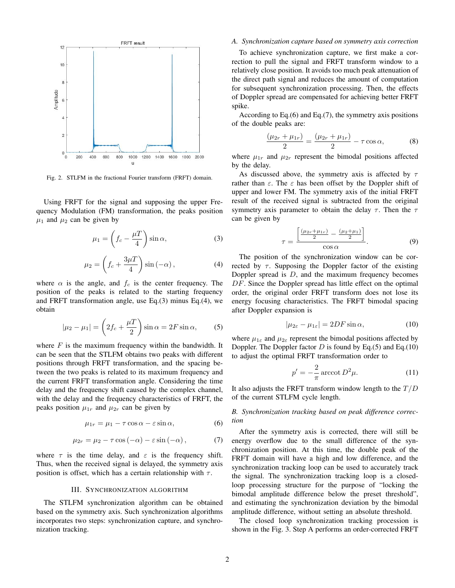

Fig. 2. STLFM in the fractional Fourier transform (FRFT) domain.

Using FRFT for the signal and supposing the upper Frequency Modulation (FM) transformation, the peaks position  $\mu_1$  and  $\mu_2$  can be given by

$$
\mu_1 = \left(f_c - \frac{\mu T}{4}\right) \sin \alpha,\tag{3}
$$

$$
\mu_2 = \left(f_c + \frac{3\mu T}{4}\right)\sin\left(-\alpha\right),\tag{4}
$$

where  $\alpha$  is the angle, and  $f_c$  is the center frequency. The position of the peaks is related to the starting frequency and FRFT transformation angle, use Eq.(3) minus Eq.(4), we obtain

$$
|\mu_2 - \mu_1| = \left(2f_c + \frac{\mu T}{2}\right)\sin\alpha = 2F\sin\alpha,\qquad(5)
$$

where  $F$  is the maximum frequency within the bandwidth. It can be seen that the STLFM obtains two peaks with different positions through FRFT transformation, and the spacing between the two peaks is related to its maximum frequency and the current FRFT transformation angle. Considering the time delay and the frequency shift caused by the complex channel, with the delay and the frequency characteristics of FRFT, the peaks position  $\mu_{1r}$  and  $\mu_{2r}$  can be given by

$$
\mu_{1r} = \mu_1 - \tau \cos \alpha - \varepsilon \sin \alpha, \tag{6}
$$

$$
\mu_{2r} = \mu_2 - \tau \cos(-\alpha) - \varepsilon \sin(-\alpha), \tag{7}
$$

where  $\tau$  is the time delay, and  $\varepsilon$  is the frequency shift. Thus, when the received signal is delayed, the symmetry axis position is offset, which has a certain relationship with  $\tau$ .

## III. SYNCHRONIZATION ALGORITHM

The STLFM synchronization algorithm can be obtained based on the symmetry axis. Such synchronization algorithms incorporates two steps: synchronization capture, and synchronization tracking.

## *A. Synchronization capture based on symmetry axis correction*

To achieve synchronization capture, we first make a correction to pull the signal and FRFT transform window to a relatively close position. It avoids too much peak attenuation of the direct path signal and reduces the amount of computation for subsequent synchronization processing. Then, the effects of Doppler spread are compensated for achieving better FRFT spike.

According to Eq.(6) and Eq.(7), the symmetry axis positions of the double peaks are:

$$
\frac{(\mu_{2r} + \mu_{1r})}{2} = \frac{(\mu_{2r} + \mu_{1r})}{2} - \tau \cos \alpha, \tag{8}
$$

where  $\mu_{1r}$  and  $\mu_{2r}$  represent the bimodal positions affected by the delay.

As discussed above, the symmetry axis is affected by  $\tau$ rather than  $\varepsilon$ . The  $\varepsilon$  has been offset by the Doppler shift of upper and lower FM. The symmetry axis of the initial FRFT result of the received signal is subtracted from the original symmetry axis parameter to obtain the delay  $\tau$ . Then the  $\tau$ can be given by

$$
\tau = \frac{\left[\frac{(\mu_{2r} + \mu_{1r})}{2} - \frac{(\mu_{2} + \mu_{1})}{2}\right]}{\cos \alpha}.
$$
\n(9)

The position of the synchronization window can be corrected by  $\tau$ . Supposing the Doppler factor of the existing Doppler spread is  $D$ , and the maximum frequency becomes DF. Since the Doppler spread has little effect on the optimal order, the original order FRFT transform does not lose its energy focusing characteristics. The FRFT bimodal spacing after Doppler expansion is

$$
|\mu_{2\varepsilon} - \mu_{1\varepsilon}| = 2DF \sin \alpha, \qquad (10)
$$

where  $\mu_{1\varepsilon}$  and  $\mu_{2\varepsilon}$  represent the bimodal positions affected by Doppler. The Doppler factor  $D$  is found by Eq.(5) and Eq.(10) to adjust the optimal FRFT transformation order to

$$
p' = -\frac{2}{\pi}\arccot D^2\mu.
$$
 (11)

It also adjusts the FRFT transform window length to the  $T/D$ of the current STLFM cycle length.

# *B. Synchronization tracking based on peak difference correction*

After the symmetry axis is corrected, there will still be energy overflow due to the small difference of the synchronization position. At this time, the double peak of the FRFT domain will have a high and low difference, and the synchronization tracking loop can be used to accurately track the signal. The synchronization tracking loop is a closedloop processing structure for the purpose of "locking the bimodal amplitude difference below the preset threshold", and estimating the synchronization deviation by the bimodal amplitude difference, without setting an absolute threshold.

The closed loop synchronization tracking procession is shown in the Fig. 3. Step A performs an order-corrected FRFT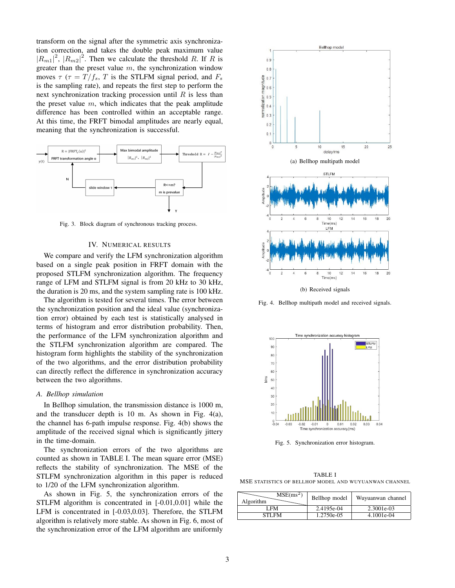transform on the signal after the symmetric axis synchronization correction, and takes the double peak maximum value  $|R_{m1}|^2$ ,  $|R_{m2}|^2$ . Then we calculate the threshold R. If R is greater than the preset value  $m$ , the synchronization window moves  $\tau$  ( $\tau = T/f_s$ , T is the STLFM signal period, and  $F_s$ is the sampling rate), and repeats the first step to perform the next synchronization tracking procession until  $R$  is less than the preset value  $m$ , which indicates that the peak amplitude difference has been controlled within an acceptable range. At this time, the FRFT bimodal amplitudes are nearly equal, meaning that the synchronization is successful.



Fig. 3. Block diagram of synchronous tracking process.

## IV. NUMERICAL RESULTS

We compare and verify the LFM synchronization algorithm based on a single peak position in FRFT domain with the proposed STLFM synchronization algorithm. The frequency range of LFM and STLFM signal is from 20 kHz to 30 kHz, the duration is 20 ms, and the system sampling rate is 100 kHz.

The algorithm is tested for several times. The error between the synchronization position and the ideal value (synchronization error) obtained by each test is statistically analysed in terms of histogram and error distribution probability. Then, the performance of the LFM synchronization algorithm and the STLFM synchronization algorithm are compared. The histogram form highlights the stability of the synchronization of the two algorithms, and the error distribution probability can directly reflect the difference in synchronization accuracy between the two algorithms.

#### *A. Bellhop simulation*

In Bellhop simulation, the transmission distance is 1000 m, and the transducer depth is 10 m. As shown in Fig. 4(a), the channel has 6-path impulse response. Fig. 4(b) shows the amplitude of the received signal which is significantly jittery in the time-domain.

The synchronization errors of the two algorithms are counted as shown in TABLE I. The mean square error (MSE) reflects the stability of synchronization. The MSE of the STLFM synchronization algorithm in this paper is reduced to 1/20 of the LFM synchronization algorithm.

As shown in Fig. 5, the synchronization errors of the STLFM algorithm is concentrated in [-0.01,0.01] while the LFM is concentrated in [-0.03,0.03]. Therefore, the STLFM algorithm is relatively more stable. As shown in Fig. 6, most of the synchronization error of the LFM algorithm are uniformly



Fig. 4. Bellhop multipath model and received signals.



Fig. 5. Synchronization error histogram.

TABLE I MSE STATISTICS OF BELLHOP MODEL AND WUYUANWAN CHANNEL

| $MSE(ms^2)$<br>Algorithm | Bellhop model | Wuyuanwan channel |
|--------------------------|---------------|-------------------|
| LFM.                     | 2.4195e-04    | 2.3001e-03        |
| STI FM                   | 1.2750e-05    | 4.1001e-04        |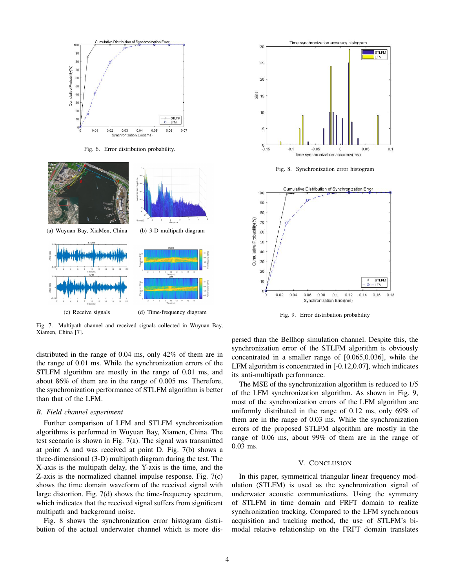

Fig. 6. Error distribution probability.



Fig. 7. Multipath channel and received signals collected in Wuyuan Bay, Xiamen, China [7].

distributed in the range of 0.04 ms, only 42% of them are in the range of 0.01 ms. While the synchronization errors of the STLFM algorithm are mostly in the range of 0.01 ms, and about 86% of them are in the range of 0.005 ms. Therefore, the synchronization performance of STLFM algorithm is better than that of the LFM.

## *B. Field channel experiment*

Further comparison of LFM and STLFM synchronization algorithms is performed in Wuyuan Bay, Xiamen, China. The test scenario is shown in Fig. 7(a). The signal was transmitted at point A and was received at point D. Fig. 7(b) shows a three-dimensional (3-D) multipath diagram during the test. The X-axis is the multipath delay, the Y-axis is the time, and the Z-axis is the normalized channel impulse response. Fig. 7(c) shows the time domain waveform of the received signal with large distortion. Fig. 7(d) shows the time-frequency spectrum, which indicates that the received signal suffers from significant multipath and background noise.

Fig. 8 shows the synchronization error histogram distribution of the actual underwater channel which is more dis-



Fig. 8. Synchronization error histogram



Fig. 9. Error distribution probability

persed than the Bellhop simulation channel. Despite this, the synchronization error of the STLFM algorithm is obviously concentrated in a smaller range of [0.065,0.036], while the LFM algorithm is concentrated in [-0.12,0.07], which indicates its anti-multipath performance.

The MSE of the synchronization algorithm is reduced to 1/5 of the LFM synchronization algorithm. As shown in Fig. 9, most of the synchronization errors of the LFM algorithm are uniformly distributed in the range of 0.12 ms, only 69% of them are in the range of 0.03 ms. While the synchronization errors of the proposed STLFM algorithm are mostly in the range of 0.06 ms, about 99% of them are in the range of 0.03 ms.

## V. CONCLUSION

In this paper, symmetrical triangular linear frequency modulation (STLFM) is used as the synchronization signal of underwater acoustic communications. Using the symmetry of STLFM in time domain and FRFT domain to realize synchronization tracking. Compared to the LFM synchronous acquisition and tracking method, the use of STLFM's bimodal relative relationship on the FRFT domain translates